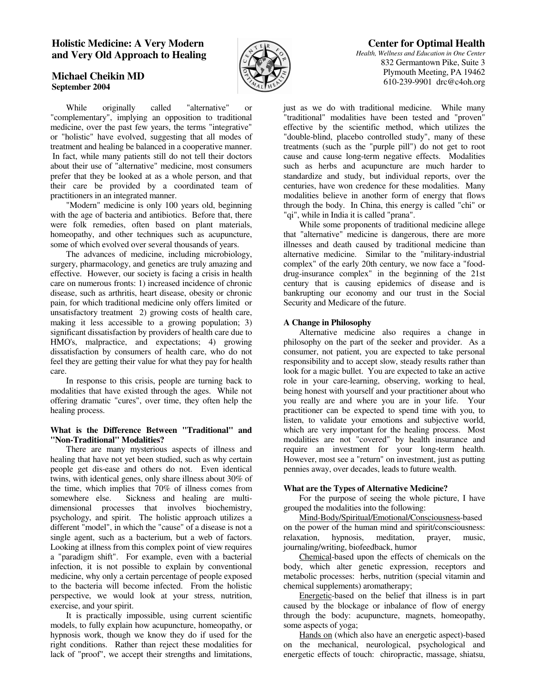# **Holistic Medicine: A Very Modern and Very Old Approach to Healing**

# **Michael Cheikin MD September 2004**



 While originally called "alternative" or "complementary", implying an opposition to traditional medicine, over the past few years, the terms "integrative" or "holistic" have evolved, suggesting that all modes of treatment and healing be balanced in a cooperative manner. In fact, while many patients still do not tell their doctors about their use of "alternative" medicine, most consumers prefer that they be looked at as a whole person, and that their care be provided by a coordinated team of practitioners in an integrated manner.

 "Modern" medicine is only 100 years old, beginning with the age of bacteria and antibiotics. Before that, there were folk remedies, often based on plant materials, homeopathy, and other techniques such as acupuncture, some of which evolved over several thousands of years.

 The advances of medicine, including microbiology, surgery, pharmacology, and genetics are truly amazing and effective. However, our society is facing a crisis in health care on numerous fronts: 1) increased incidence of chronic disease, such as arthritis, heart disease, obesity or chronic pain, for which traditional medicine only offers limited or unsatisfactory treatment 2) growing costs of health care, making it less accessible to a growing population; 3) significant dissatisfaction by providers of health care due to HMO's, malpractice, and expectations; 4) growing dissatisfaction by consumers of health care, who do not feel they are getting their value for what they pay for health care.

 In response to this crisis, people are turning back to modalities that have existed through the ages. While not offering dramatic "cures", over time, they often help the healing process.

#### **What is the Difference Between "Traditional" and "Non-Traditional" Modalities?**

 There are many mysterious aspects of illness and healing that have not yet been studied, such as why certain people get dis-ease and others do not. Even identical twins, with identical genes, only share illness about 30% of the time, which implies that 70% of illness comes from somewhere else. Sickness and healing are multidimensional processes that involves biochemistry, psychology, and spirit. The holistic approach utilizes a different "model", in which the "cause" of a disease is not a single agent, such as a bacterium, but a web of factors. Looking at illness from this complex point of view requires a "paradigm shift". For example, even with a bacterial infection, it is not possible to explain by conventional medicine, why only a certain percentage of people exposed to the bacteria will become infected. From the holistic perspective, we would look at your stress, nutrition, exercise, and your spirit.

 It is practically impossible, using current scientific models, to fully explain how acupuncture, homeopathy, or hypnosis work, though we know they do if used for the right conditions. Rather than reject these modalities for lack of "proof", we accept their strengths and limitations,

 **Center for Optimal Health** *Health, Wellness and Education in One Center* 832 Germantown Pike, Suite 3 Plymouth Meeting, PA 19462 610-239-9901 drc@c4oh.org

just as we do with traditional medicine. While many "traditional" modalities have been tested and "proven" effective by the scientific method, which utilizes the "double-blind, placebo controlled study", many of these treatments (such as the "purple pill") do not get to root cause and cause long-term negative effects. Modalities such as herbs and acupuncture are much harder to standardize and study, but individual reports, over the centuries, have won credence for these modalities. Many modalities believe in another form of energy that flows through the body. In China, this energy is called "chi" or "qi", while in India it is called "prana".

 While some proponents of traditional medicine allege that "alternative" medicine is dangerous, there are more illnesses and death caused by traditional medicine than alternative medicine. Similar to the "military-industrial complex" of the early 20th century, we now face a "fooddrug-insurance complex" in the beginning of the 21st century that is causing epidemics of disease and is bankrupting our economy and our trust in the Social Security and Medicare of the future.

## **A Change in Philosophy**

 Alternative medicine also requires a change in philosophy on the part of the seeker and provider. As a consumer, not patient, you are expected to take personal responsibility and to accept slow, steady results rather than look for a magic bullet. You are expected to take an active role in your care-learning, observing, working to heal, being honest with yourself and your practitioner about who you really are and where you are in your life. Your practitioner can be expected to spend time with you, to listen, to validate your emotions and subjective world, which are very important for the healing process. Most modalities are not "covered" by health insurance and require an investment for your long-term health. However, most see a "return" on investment, just as putting pennies away, over decades, leads to future wealth.

#### **What are the Types of Alternative Medicine?**

 For the purpose of seeing the whole picture, I have grouped the modalities into the following:

 Mind-Body/Spiritual/Emotional/Consciousness-based on the power of the human mind and spirit/consciousness: relaxation, hypnosis, meditation, prayer, music, journaling/writing, biofeedback, humor

 Chemical-based upon the effects of chemicals on the body, which alter genetic expression, receptors and metabolic processes: herbs, nutrition (special vitamin and chemical supplements) aromatherapy;

 Energetic-based on the belief that illness is in part caused by the blockage or inbalance of flow of energy through the body: acupuncture, magnets, homeopathy, some aspects of yoga;

 Hands on (which also have an energetic aspect)-based on the mechanical, neurological, psychological and energetic effects of touch: chiropractic, massage, shiatsu,